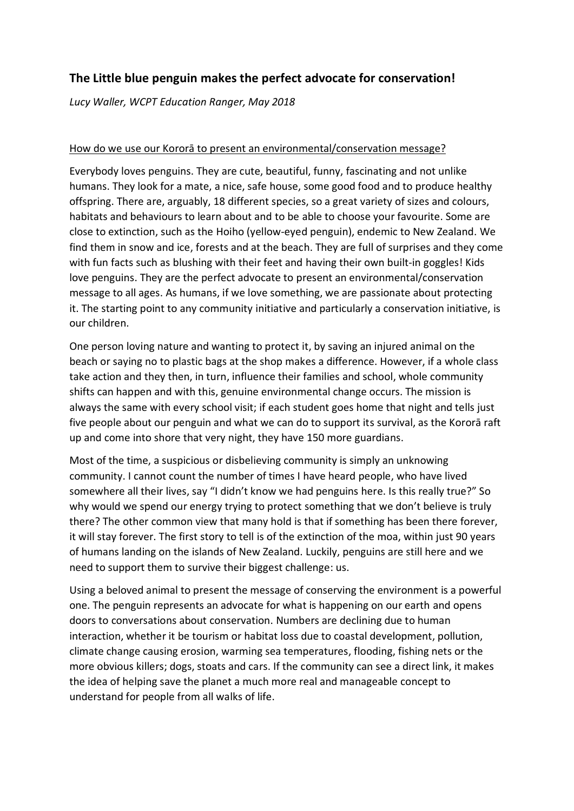## **The Little blue penguin makes the perfect advocate for conservation!**

*Lucy Waller, WCPT Education Ranger, May 2018*

## How do we use our Kororā to present an environmental/conservation message?

Everybody loves penguins. They are cute, beautiful, funny, fascinating and not unlike humans. They look for a mate, a nice, safe house, some good food and to produce healthy offspring. There are, arguably, 18 different species, so a great variety of sizes and colours, habitats and behaviours to learn about and to be able to choose your favourite. Some are close to extinction, such as the Hoiho (yellow-eyed penguin), endemic to New Zealand. We find them in snow and ice, forests and at the beach. They are full of surprises and they come with fun facts such as blushing with their feet and having their own built-in goggles! Kids love penguins. They are the perfect advocate to present an environmental/conservation message to all ages. As humans, if we love something, we are passionate about protecting it. The starting point to any community initiative and particularly a conservation initiative, is our children.

One person loving nature and wanting to protect it, by saving an injured animal on the beach or saying no to plastic bags at the shop makes a difference. However, if a whole class take action and they then, in turn, influence their families and school, whole community shifts can happen and with this, genuine environmental change occurs. The mission is always the same with every school visit; if each student goes home that night and tells just five people about our penguin and what we can do to support its survival, as the Kororā raft up and come into shore that very night, they have 150 more guardians.

Most of the time, a suspicious or disbelieving community is simply an unknowing community. I cannot count the number of times I have heard people, who have lived somewhere all their lives, say "I didn't know we had penguins here. Is this really true?" So why would we spend our energy trying to protect something that we don't believe is truly there? The other common view that many hold is that if something has been there forever, it will stay forever. The first story to tell is of the extinction of the moa, within just 90 years of humans landing on the islands of New Zealand. Luckily, penguins are still here and we need to support them to survive their biggest challenge: us.

Using a beloved animal to present the message of conserving the environment is a powerful one. The penguin represents an advocate for what is happening on our earth and opens doors to conversations about conservation. Numbers are declining due to human interaction, whether it be tourism or habitat loss due to coastal development, pollution, climate change causing erosion, warming sea temperatures, flooding, fishing nets or the more obvious killers; dogs, stoats and cars. If the community can see a direct link, it makes the idea of helping save the planet a much more real and manageable concept to understand for people from all walks of life.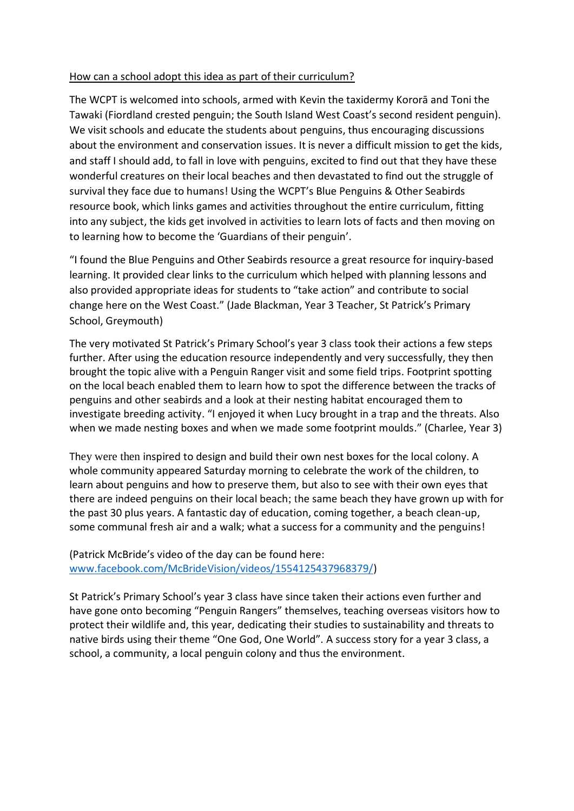## How can a school adopt this idea as part of their curriculum?

The WCPT is welcomed into schools, armed with Kevin the taxidermy Kororā and Toni the Tawaki (Fiordland crested penguin; the South Island West Coast's second resident penguin). We visit schools and educate the students about penguins, thus encouraging discussions about the environment and conservation issues. It is never a difficult mission to get the kids, and staff I should add, to fall in love with penguins, excited to find out that they have these wonderful creatures on their local beaches and then devastated to find out the struggle of survival they face due to humans! Using the WCPT's Blue Penguins & Other Seabirds resource book, which links games and activities throughout the entire curriculum, fitting into any subject, the kids get involved in activities to learn lots of facts and then moving on to learning how to become the 'Guardians of their penguin'.

"I found the Blue Penguins and Other Seabirds resource a great resource for inquiry-based learning. It provided clear links to the curriculum which helped with planning lessons and also provided appropriate ideas for students to "take action" and contribute to social change here on the West Coast." (Jade Blackman, Year 3 Teacher, St Patrick's Primary School, Greymouth)

The very motivated St Patrick's Primary School's year 3 class took their actions a few steps further. After using the education resource independently and very successfully, they then brought the topic alive with a Penguin Ranger visit and some field trips. Footprint spotting on the local beach enabled them to learn how to spot the difference between the tracks of penguins and other seabirds and a look at their nesting habitat encouraged them to investigate breeding activity. "I enjoyed it when Lucy brought in a trap and the threats. Also when we made nesting boxes and when we made some footprint moulds." (Charlee, Year 3)

They were then inspired to design and build their own nest boxes for the local colony. A whole community appeared Saturday morning to celebrate the work of the children, to learn about penguins and how to preserve them, but also to see with their own eyes that there are indeed penguins on their local beach; the same beach they have grown up with for the past 30 plus years. A fantastic day of education, coming together, a beach clean-up, some communal fresh air and a walk; what a success for a community and the penguins!

## (Patrick McBride's video of the day can be found here: [www.facebook.com/McBrideVision/videos/1554125437968379/\)](http://www.facebook.com/McBrideVision/videos/1554125437968379/)

St Patrick's Primary School's year 3 class have since taken their actions even further and have gone onto becoming "Penguin Rangers" themselves, teaching overseas visitors how to protect their wildlife and, this year, dedicating their studies to sustainability and threats to native birds using their theme "One God, One World". A success story for a year 3 class, a school, a community, a local penguin colony and thus the environment.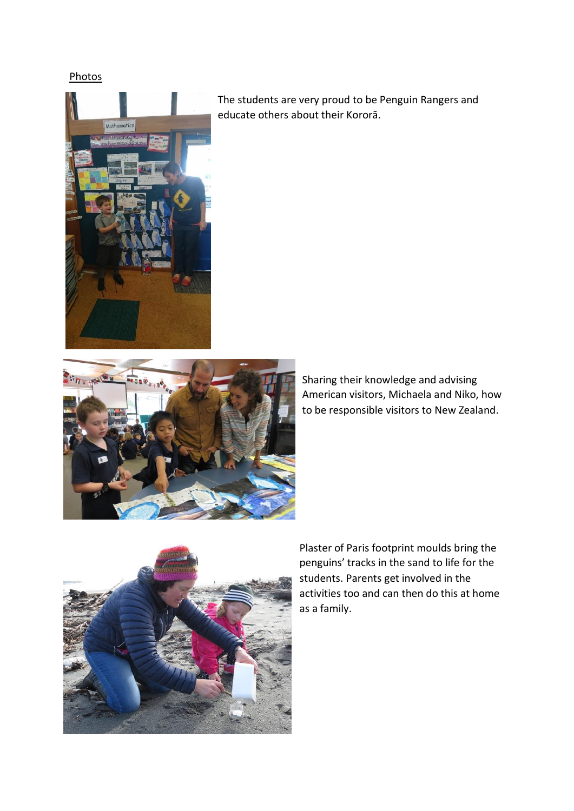Photos



The students are very proud to be Penguin Rangers and educate others about their Kororā.



Sharing their knowledge and advising American visitors, Michaela and Niko, how to be responsible visitors to New Zealand.



Plaster of Paris footprint moulds bring the penguins' tracks in the sand to life for the students. Parents get involved in the activities too and can then do this at home as a family.